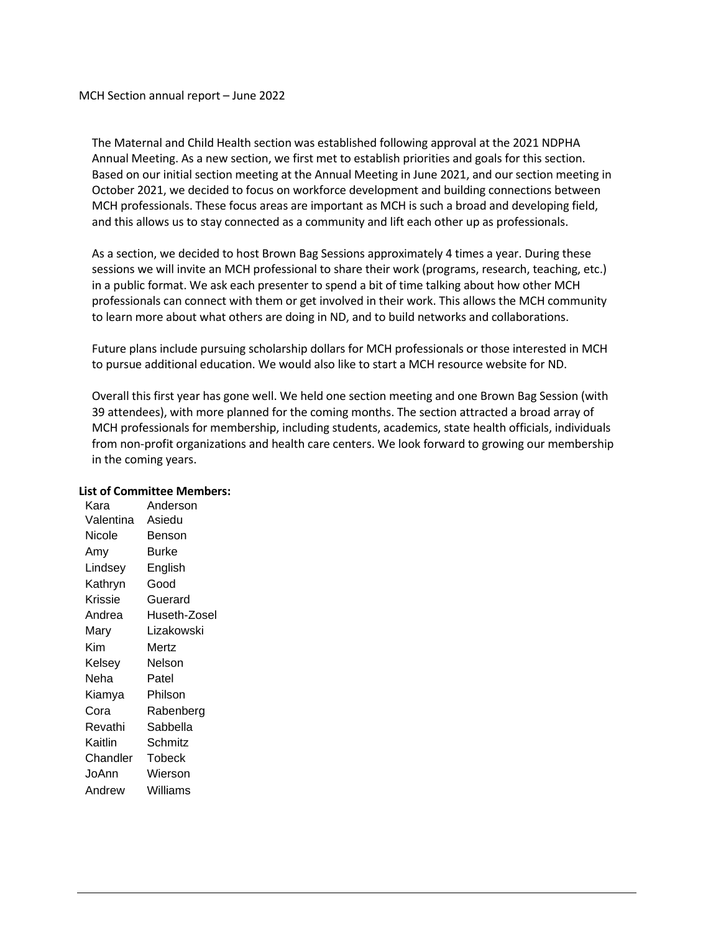MCH Section annual report – June 2022

The Maternal and Child Health section was established following approval at the 2021 NDPHA Annual Meeting. As a new section, we first met to establish priorities and goals for this section. Based on our initial section meeting at the Annual Meeting in June 2021, and our section meeting in October 2021, we decided to focus on workforce development and building connections between MCH professionals. These focus areas are important as MCH is such a broad and developing field, and this allows us to stay connected as a community and lift each other up as professionals.

As a section, we decided to host Brown Bag Sessions approximately 4 times a year. During these sessions we will invite an MCH professional to share their work (programs, research, teaching, etc.) in a public format. We ask each presenter to spend a bit of time talking about how other MCH professionals can connect with them or get involved in their work. This allows the MCH community to learn more about what others are doing in ND, and to build networks and collaborations.

Future plans include pursuing scholarship dollars for MCH professionals or those interested in MCH to pursue additional education. We would also like to start a MCH resource website for ND.

Overall this first year has gone well. We held one section meeting and one Brown Bag Session (with 39 attendees), with more planned for the coming months. The section attracted a broad array of MCH professionals for membership, including students, academics, state health officials, individuals from non-profit organizations and health care centers. We look forward to growing our membership in the coming years.

## **List of Committee Members:**

Kara Anderson Valentina Asiedu Nicole Benson Amy Burke Lindsey English Kathryn Good Krissie Guerard Andrea Huseth-Zosel Mary Lizakowski Kim Mertz Kelsey Nelson Neha Patel Kiamya Philson Cora Rabenberg Revathi Sabbella Kaitlin Schmitz Chandler Tobeck JoAnn Wierson Andrew Williams